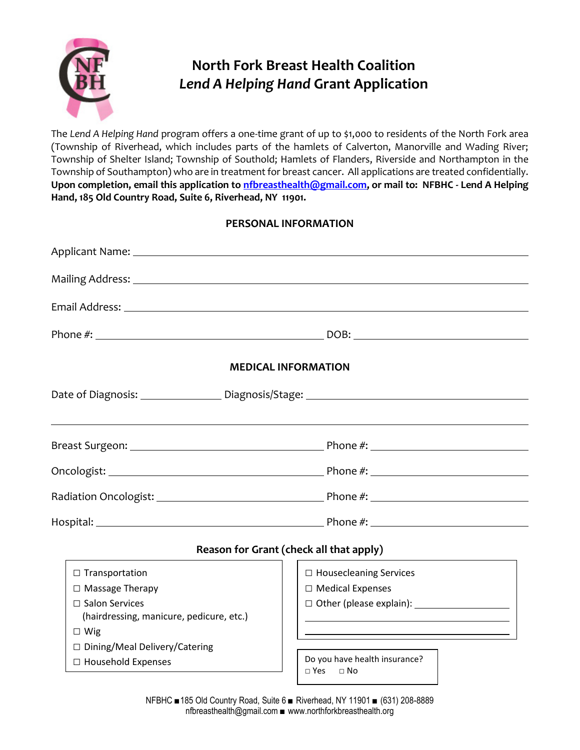

# **North Fork Breast Health Coalition** *Lend A Helping Hand* **Grant Application**

The *Lend A Helping Hand* program offers a one-time grant of up to \$1,000 to residents of the North Fork area (Township of Riverhead, which includes parts of the hamlets of Calverton, Manorville and Wading River; Township of Shelter Island; Township of Southold; Hamlets of Flanders, Riverside and Northampton in the Township of Southampton) who are in treatment for breast cancer. All applications are treated confidentially. **Upon completion, email this application to [nfbreasthealth@gmail.com,](mailto:nfbreasthealth@gmail.com) or mail to: NFBHC - Lend A Helping Hand, 185 Old Country Road, Suite 6, Riverhead, NY 11901.**

### **PERSONAL INFORMATION**

| <b>MEDICAL INFORMATION</b>                 |                               |  |  |  |
|--------------------------------------------|-------------------------------|--|--|--|
|                                            |                               |  |  |  |
|                                            |                               |  |  |  |
|                                            |                               |  |  |  |
|                                            |                               |  |  |  |
|                                            |                               |  |  |  |
| Reason for Grant (check all that apply)    |                               |  |  |  |
|                                            |                               |  |  |  |
| $\Box$ Transportation                      | $\Box$ Housecleaning Services |  |  |  |
| □ Massage Therapy<br>$\Box$ Salon Services | $\Box$ Medical Expenses       |  |  |  |
| (hairdressing, manicure, pedicure, etc.)   |                               |  |  |  |
| $\Box$ Wig                                 |                               |  |  |  |
| □ Dining/Meal Delivery/Catering            |                               |  |  |  |
| $\Box$ Household Expenses                  | Do you have health insurance? |  |  |  |
|                                            | $\Box$ Yes $\Box$ No          |  |  |  |